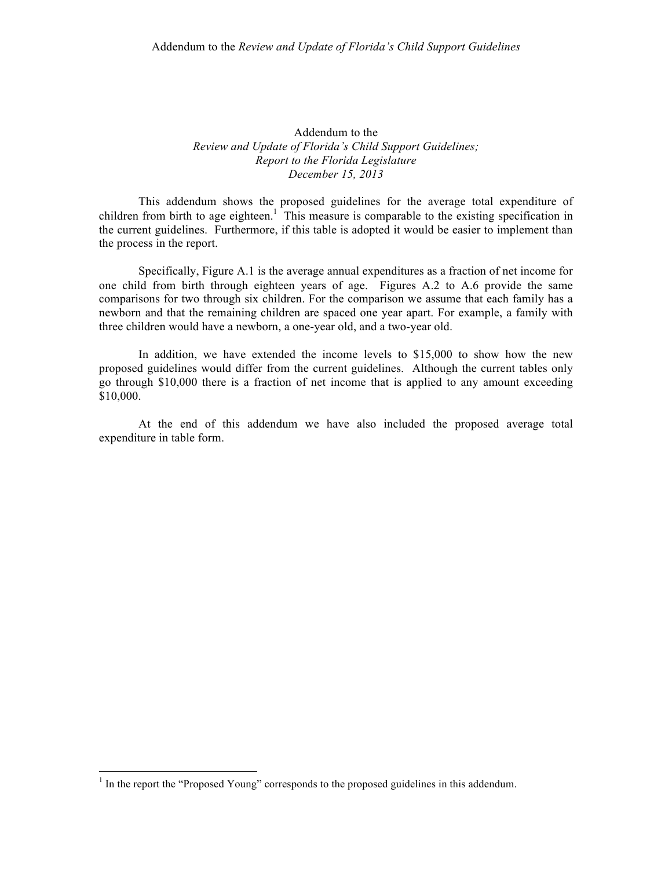## Addendum to the *Review and Update of Florida's Child Support Guidelines; Report to the Florida Legislature December 15, 2013*

This addendum shows the proposed guidelines for the average total expenditure of children from birth to age eighteen.<sup>1</sup> This measure is comparable to the existing specification in the current guidelines. Furthermore, if this table is adopted it would be easier to implement than the process in the report.

Specifically, Figure A.1 is the average annual expenditures as a fraction of net income for one child from birth through eighteen years of age. Figures A.2 to A.6 provide the same comparisons for two through six children. For the comparison we assume that each family has a newborn and that the remaining children are spaced one year apart. For example, a family with three children would have a newborn, a one-year old, and a two-year old.

In addition, we have extended the income levels to \$15,000 to show how the new proposed guidelines would differ from the current guidelines. Although the current tables only go through \$10,000 there is a fraction of net income that is applied to any amount exceeding \$10,000.

At the end of this addendum we have also included the proposed average total expenditure in table form.

<sup>&</sup>lt;sup>1</sup> In the report the "Proposed Young" corresponds to the proposed guidelines in this addendum.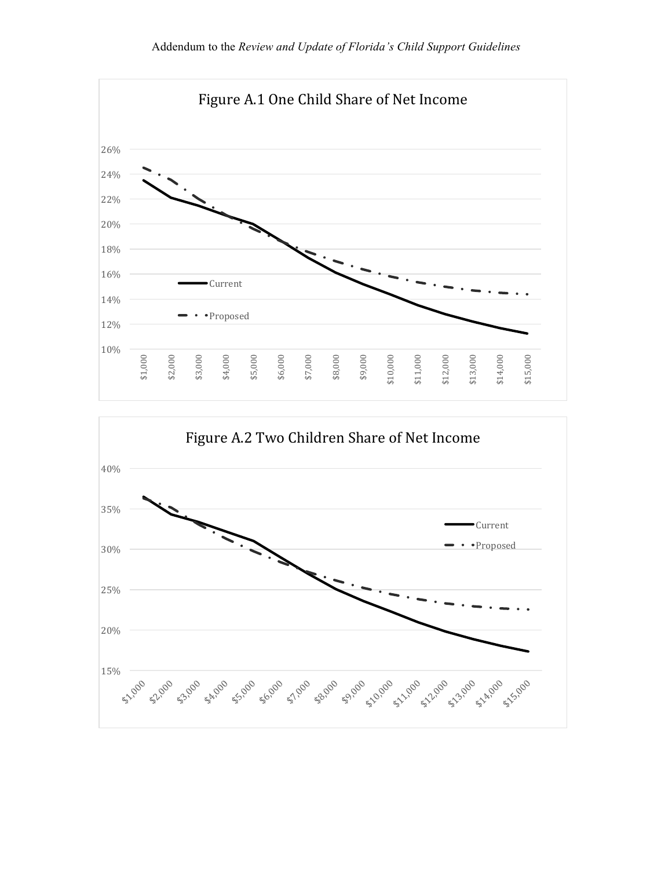

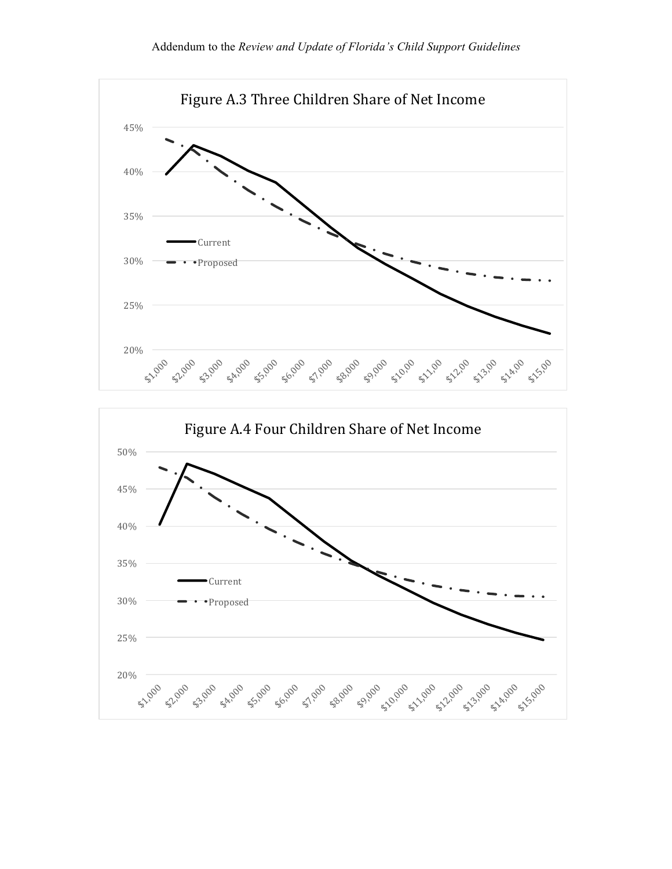

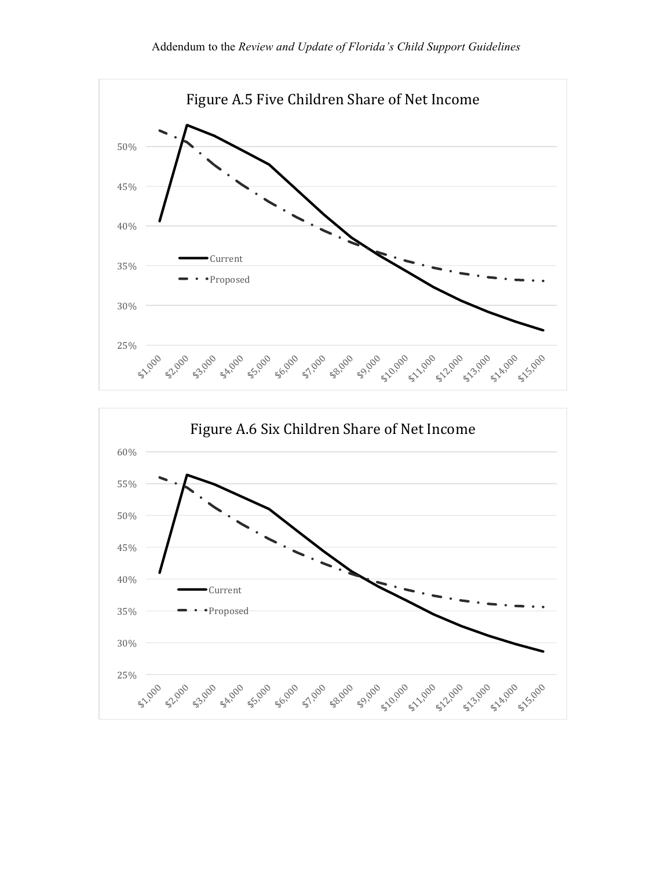

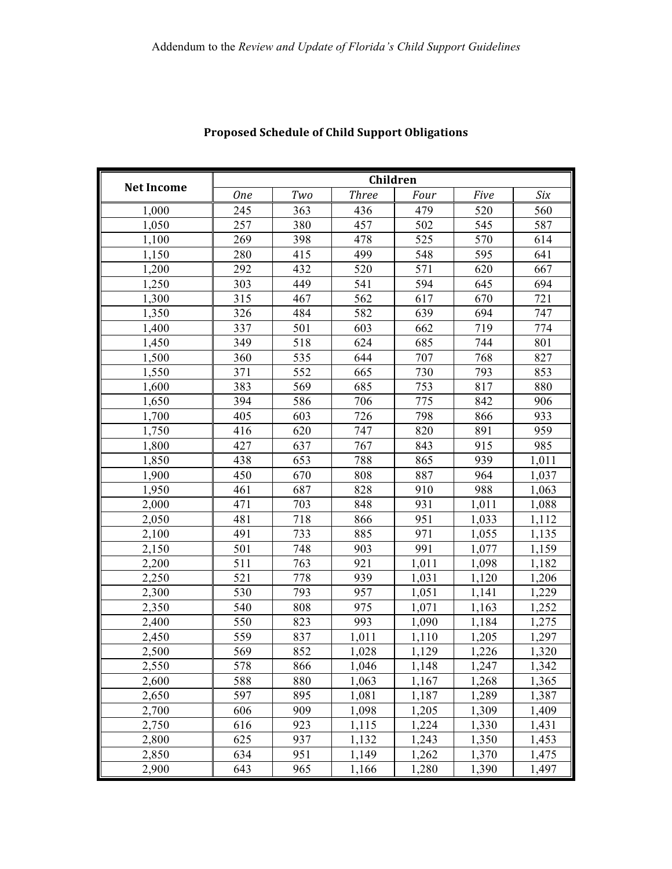|                   | Children   |     |              |       |       |       |  |
|-------------------|------------|-----|--------------|-------|-------|-------|--|
| <b>Net Income</b> | <b>One</b> | Two | <b>Three</b> | Four  | Five  | Six   |  |
| 1,000             | 245        | 363 | 436          | 479   | 520   | 560   |  |
| 1,050             | 257        | 380 | 457          | 502   | 545   | 587   |  |
| 1,100             | 269        | 398 | 478          | 525   | 570   | 614   |  |
| 1,150             | 280        | 415 | 499          | 548   | 595   | 641   |  |
| 1,200             | 292        | 432 | 520          | 571   | 620   | 667   |  |
| 1,250             | 303        | 449 | 541          | 594   | 645   | 694   |  |
| 1,300             | 315        | 467 | 562          | 617   | 670   | 721   |  |
| 1,350             | 326        | 484 | 582          | 639   | 694   | 747   |  |
| 1,400             | 337        | 501 | 603          | 662   | 719   | 774   |  |
| 1,450             | 349        | 518 | 624          | 685   | 744   | 801   |  |
| 1,500             | 360        | 535 | 644          | 707   | 768   | 827   |  |
| 1,550             | 371        | 552 | 665          | 730   | 793   | 853   |  |
| 1,600             | 383        | 569 | 685          | 753   | 817   | 880   |  |
| 1,650             | 394        | 586 | 706          | 775   | 842   | 906   |  |
| 1,700             | 405        | 603 | 726          | 798   | 866   | 933   |  |
| 1,750             | 416        | 620 | 747          | 820   | 891   | 959   |  |
| 1,800             | 427        | 637 | 767          | 843   | 915   | 985   |  |
| 1,850             | 438        | 653 | 788          | 865   | 939   | 1,011 |  |
| 1,900             | 450        | 670 | 808          | 887   | 964   | 1,037 |  |
| 1,950             | 461        | 687 | 828          | 910   | 988   | 1,063 |  |
| 2,000             | 471        | 703 | 848          | 931   | 1,011 | 1,088 |  |
| 2,050             | 481        | 718 | 866          | 951   | 1,033 | 1,112 |  |
| 2,100             | 491        | 733 | 885          | 971   | 1,055 | 1,135 |  |
| 2,150             | 501        | 748 | 903          | 991   | 1,077 | 1,159 |  |
| 2,200             | 511        | 763 | 921          | 1,011 | 1,098 | 1,182 |  |
| 2,250             | 521        | 778 | 939          | 1,031 | 1,120 | 1,206 |  |
| 2,300             | 530        | 793 | 957          | 1,051 | 1,141 | 1,229 |  |
| 2,350             | 540        | 808 | 975          | 1,071 | 1,163 | 1,252 |  |
| 2,400             | 550        | 823 | 993          | 1,090 | 1,184 | 1,275 |  |
| 2,450             | 559        | 837 | 1,011        | 1,110 | 1,205 | 1,297 |  |
| 2,500             | 569        | 852 | 1,028        | 1,129 | 1,226 | 1,320 |  |
| 2,550             | 578        | 866 | 1,046        | 1,148 | 1,247 | 1,342 |  |
| 2,600             | 588        | 880 | 1,063        | 1,167 | 1,268 | 1,365 |  |
| 2,650             | 597        | 895 | 1,081        | 1,187 | 1,289 | 1,387 |  |
| 2,700             | 606        | 909 | 1,098        | 1,205 | 1,309 | 1,409 |  |
| 2,750             | 616        | 923 | 1,115        | 1,224 | 1,330 | 1,431 |  |
| 2,800             | 625        | 937 | 1,132        | 1,243 | 1,350 | 1,453 |  |
| 2,850             | 634        | 951 | 1,149        | 1,262 | 1,370 | 1,475 |  |
| 2,900             | 643        | 965 | 1,166        | 1,280 | 1,390 | 1,497 |  |

## **Proposed Schedule of Child Support Obligations**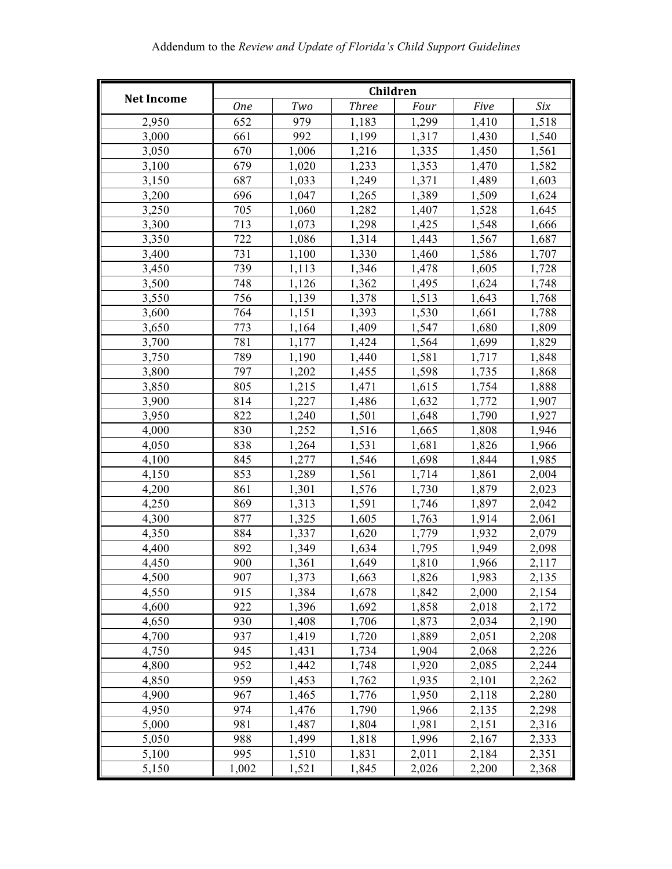|                   | <b>Children</b> |                |                |                |                |                |  |
|-------------------|-----------------|----------------|----------------|----------------|----------------|----------------|--|
| <b>Net Income</b> | <b>One</b>      | Two            | <b>Three</b>   | Four           | Five           | Six            |  |
| 2,950             | 652             | 979            | 1,183          | 1,299          | 1,410          | 1,518          |  |
| 3,000             | 661             | 992            | 1,199          | 1,317          | 1,430          | 1,540          |  |
| 3,050             | 670             | 1,006          | 1,216          | 1,335          | 1,450          | 1,561          |  |
| 3,100             | 679             | 1,020          | 1,233          | 1,353          | 1,470          | 1,582          |  |
| 3,150             | 687             | 1,033          | 1,249          | 1,371          | 1,489          | 1,603          |  |
| 3,200             | 696             | 1,047          | 1,265          | 1,389          | 1,509          | 1,624          |  |
| 3,250             | 705             | 1,060          | 1,282          | 1,407          | 1,528          | 1,645          |  |
| 3,300             | 713             | 1,073          | 1,298          | 1,425          | 1,548          | 1,666          |  |
| 3,350             | 722             | 1,086          | 1,314          | 1,443          | 1,567          | 1,687          |  |
| 3,400             | 731             | 1,100          | 1,330          | 1,460          | 1,586          | 1,707          |  |
| 3,450             | 739             | 1,113          | 1,346          | 1,478          | 1,605          | 1,728          |  |
| 3,500             | 748             | 1,126          | 1,362          | 1,495          | 1,624          | 1,748          |  |
| 3,550             | 756             | 1,139          | 1,378          | 1,513          | 1,643          | 1,768          |  |
| 3,600             | 764             | 1,151          | 1,393          | 1,530          | 1,661          | 1,788          |  |
| 3,650             | 773             | 1,164          | 1,409          | 1,547          | 1,680          | 1,809          |  |
| 3,700<br>3,750    | 781<br>789      | 1,177<br>1,190 | 1,424<br>1,440 | 1,564<br>1,581 | 1,699<br>1,717 | 1,829<br>1,848 |  |
| 3,800             | 797             | 1,202          | 1,455          | 1,598          | 1,735          | 1,868          |  |
| 3,850             | 805             | 1,215          | 1,471          | 1,615          | 1,754          | 1,888          |  |
| 3,900             | 814             | 1,227          | 1,486          | 1,632          | 1,772          | 1,907          |  |
| 3,950             | 822             | 1,240          | 1,501          | 1,648          | 1,790          | 1,927          |  |
| 4,000             | 830             | 1,252          | 1,516          | 1,665          | 1,808          | 1,946          |  |
| 4,050             | 838             | 1,264          | 1,531          | 1,681          | 1,826          | 1,966          |  |
| 4,100             | 845             | 1,277          | 1,546          | 1,698          | 1,844          | 1,985          |  |
| 4,150             | 853             | 1,289          | 1,561          | 1,714          | 1,861          | 2,004          |  |
| 4,200             | 861             | 1,301          | 1,576          | 1,730          | 1,879          | 2,023          |  |
| 4,250             | 869             | 1,313          | 1,591          | 1,746          | 1,897          | 2,042          |  |
| 4,300             | 877             | 1,325          | 1,605          | 1,763          | 1,914          | 2,061          |  |
| 4,350             | 884             | 1,337          | 1,620          | 1,779          | 1,932          | 2,079          |  |
| 4,400             | 892             | 1,349          | 1,634          | 1,795          | 1,949          | 2,098          |  |
| 4,450             | 900             | 1,361          | 1,649          | 1,810          | 1,966          | 2,117          |  |
| 4,500             | 907             | 1,373          | 1,663          | 1,826          | 1,983          | 2,135          |  |
| 4,550             | 915             | 1,384          | 1,678          | 1,842          | 2,000          | 2,154          |  |
| 4,600             | 922             | 1,396          | 1,692          | 1,858          | 2,018          | 2,172          |  |
| 4,650             | 930             | 1,408          | 1,706          | 1,873          | 2,034          | 2,190          |  |
| 4,700             | 937             | 1,419          | 1,720          | 1,889          | 2,051          | 2,208          |  |
| 4,750             | 945             | 1,431          | 1,734          | 1,904          | 2,068          | 2,226          |  |
| 4,800             | 952             | 1,442          | 1,748          | 1,920          | 2,085          | 2,244          |  |
| 4,850             | 959             | 1,453          | 1,762          | 1,935          | 2,101          | 2,262          |  |
| 4,900             | 967             | 1,465          | 1,776          | 1,950          | 2,118          | 2,280          |  |
| 4,950             | 974             | 1,476          | 1,790          | 1,966          | 2,135          | 2,298          |  |
| 5,000             | 981<br>988      | 1,487          | 1,804          | 1,981          | 2,151          | 2,316          |  |
| 5,050<br>5,100    | 995             | 1,499<br>1,510 | 1,818<br>1,831 | 1,996<br>2,011 | 2,167          | 2,333<br>2,351 |  |
| 5,150             | 1,002           | 1,521          | 1,845          | 2,026          | 2,184<br>2,200 | 2,368          |  |
|                   |                 |                |                |                |                |                |  |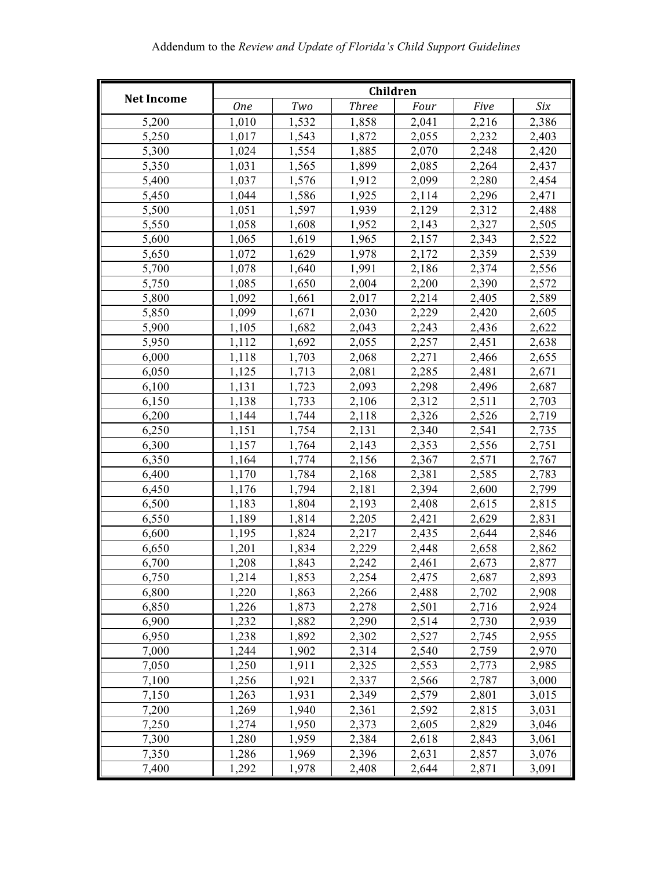|                   | <b>Children</b> |                |                |                |                    |                |  |
|-------------------|-----------------|----------------|----------------|----------------|--------------------|----------------|--|
| <b>Net Income</b> | <b>One</b>      | Two            | <b>Three</b>   | Four           | Five               | Six            |  |
| 5,200             | 1,010           | 1,532          | 1,858          | 2,041          | 2,216              | 2,386          |  |
| 5,250             | 1,017           | 1,543          | 1,872          | 2,055          | 2,232              | 2,403          |  |
| 5,300             | 1,024           | 1,554          | 1,885          | 2,070          | 2,248              | 2,420          |  |
| 5,350             | 1,031           | 1,565          | 1,899          | 2,085          | 2,264              | 2,437          |  |
| 5,400             | 1,037           | 1,576          | 1,912          | 2,099          | 2,280              | 2,454          |  |
| 5,450             | 1,044           | 1,586          | 1,925          | 2,114          | 2,296              | 2,471          |  |
| 5,500             | 1,051           | 1,597          | 1,939          | 2,129          | 2,312              | 2,488          |  |
| 5,550             | 1,058           | 1,608          | 1,952          | 2,143          | 2,327              | 2,505          |  |
| 5,600             | 1,065           | 1,619          | 1,965          | 2,157          | $\overline{2,343}$ | 2,522          |  |
| 5,650             | 1,072           | 1,629          | 1,978          | 2,172          | 2,359              | 2,539          |  |
| 5,700             | 1,078           | 1,640          | 1,991          | 2,186          | 2,374              | 2,556          |  |
| 5,750             | 1,085           | 1,650          | 2,004          | 2,200          | 2,390              | 2,572          |  |
| 5,800             | 1,092           | 1,661          | 2,017          | 2,214          | 2,405              | 2,589          |  |
| 5,850             | 1,099           | 1,671          | 2,030          | 2,229          | 2,420              | 2,605          |  |
| 5,900             | 1,105           | 1,682          | 2,043          | 2,243          | 2,436              | 2,622          |  |
| 5,950             | 1,112           | 1,692          | 2,055          | 2,257          | 2,451              | 2,638          |  |
| 6,000             | 1,118           | 1,703          | 2,068          | 2,271          | 2,466              | 2,655          |  |
| 6,050             | 1,125           | 1,713          | 2,081          | 2,285          | 2,481              | 2,671          |  |
| 6,100<br>6,150    | 1,131<br>1,138  | 1,723<br>1,733 | 2,093<br>2,106 | 2,298<br>2,312 | 2,496<br>2,511     | 2,687<br>2,703 |  |
| 6,200             | 1,144           | 1,744          | 2,118          | 2,326          | 2,526              | 2,719          |  |
| 6,250             | 1,151           | 1,754          | 2,131          | 2,340          | 2,541              | 2,735          |  |
| 6,300             | 1,157           | 1,764          | 2,143          | 2,353          | 2,556              | 2,751          |  |
| 6,350             | 1,164           | 1,774          | 2,156          | 2,367          | 2,571              | 2,767          |  |
| 6,400             | 1,170           | 1,784          | 2,168          | 2,381          | 2,585              | 2,783          |  |
| 6,450             | 1,176           | 1,794          | 2,181          | 2,394          | 2,600              | 2,799          |  |
| 6,500             | 1,183           | 1,804          | 2,193          | 2,408          | 2,615              | 2,815          |  |
| 6,550             | 1,189           | 1,814          | 2,205          | 2,421          | 2,629              | 2,831          |  |
| 6,600             | 1,195           | 1,824          | 2,217          | 2,435          | 2,644              | 2,846          |  |
| 6,650             | 1,201           | 1,834          | 2,229          | 2,448          | 2,658              | 2,862          |  |
| 6,700             | 1,208           | 1,843          | 2,242          | 2,461          | 2,673              | 2,877          |  |
| 6,750             | 1,214           | 1,853          | 2,254          | 2,475          | 2,687              | 2,893          |  |
| 6,800             | 1,220           | 1,863          | 2,266          | 2,488          | 2,702              | 2,908          |  |
| 6,850             | 1,226           | 1,873          | 2,278          | 2,501          | 2,716              | 2,924          |  |
| 6,900             | 1,232           | 1,882          | 2,290          | 2,514          | 2,730              | 2,939          |  |
| 6,950             | 1,238           | 1,892          | 2,302          | 2,527          | 2,745              | 2,955          |  |
| 7,000             | 1,244           | 1,902          | 2,314          | 2,540          | 2,759              | 2,970          |  |
| 7,050             | 1,250           | 1,911          | 2,325          | 2,553          | 2,773              | 2,985          |  |
| 7,100             | 1,256           | 1,921          | 2,337          | 2,566          | 2,787              | 3,000          |  |
| 7,150             | 1,263           | 1,931          | 2,349          | 2,579          | 2,801              | 3,015          |  |
| 7,200             | 1,269           | 1,940          | 2,361          | 2,592          | 2,815              | 3,031          |  |
| 7,250             | 1,274           | 1,950          | 2,373          | 2,605          | 2,829              | 3,046          |  |
| 7,300             | 1,280           | 1,959          | 2,384          | 2,618          | 2,843              | 3,061          |  |
| 7,350             | 1,286           | 1,969          | 2,396          | 2,631          | 2,857              | 3,076          |  |
| 7,400             | 1,292           | 1,978          | 2,408          | 2,644          | 2,871              | 3,091          |  |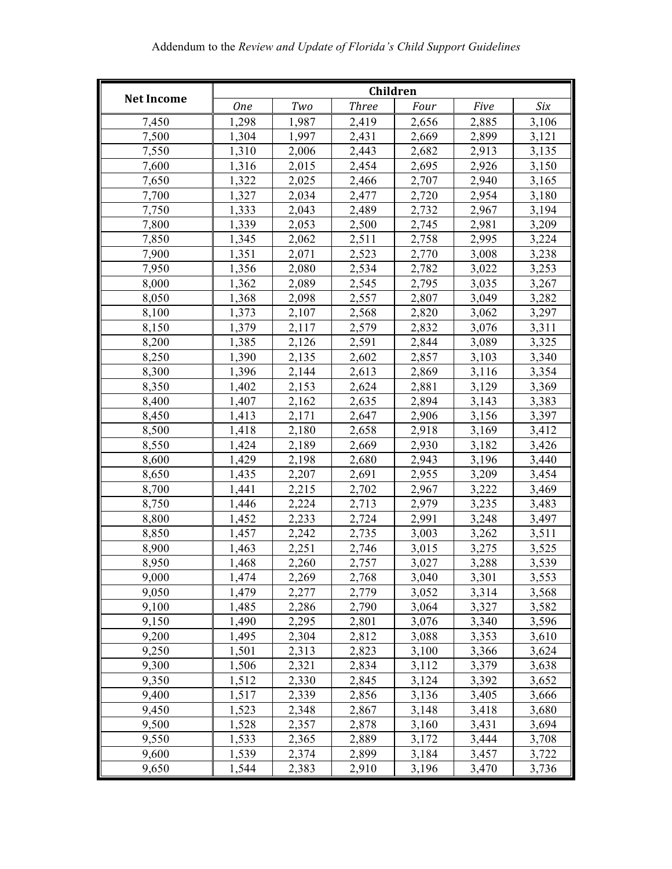|                   | <b>Children</b> |                |                |                |                |                |  |
|-------------------|-----------------|----------------|----------------|----------------|----------------|----------------|--|
| <b>Net Income</b> | <b>One</b>      | Two            | <b>Three</b>   | Four           | Five           | Six            |  |
| 7,450             | 1,298           | 1,987          | 2,419          | 2,656          | 2,885          | 3,106          |  |
| 7,500             | 1,304           | 1,997          | 2,431          | 2,669          | 2,899          | 3,121          |  |
| 7,550             | 1,310           | 2,006          | 2,443          | 2,682          | 2,913          | 3,135          |  |
| 7,600             | 1,316           | 2,015          | 2,454          | 2,695          | 2,926          | 3,150          |  |
| 7,650             | 1,322           | 2,025          | 2,466          | 2,707          | 2,940          | 3,165          |  |
| 7,700             | 1,327           | 2,034          | 2,477          | 2,720          | 2,954          | 3,180          |  |
| 7,750             | 1,333           | 2,043          | 2,489          | 2,732          | 2,967          | 3,194          |  |
| 7,800             | 1,339           | 2,053          | 2,500          | 2,745          | 2,981          | 3,209          |  |
| 7,850             | 1,345           | 2,062          | 2,511          | 2,758          | 2,995          | 3,224          |  |
| 7,900             | 1,351           | 2,071          | 2,523          | 2,770          | 3,008          | 3,238          |  |
| 7,950             | 1,356           | 2,080          | 2,534          | 2,782          | 3,022          | 3,253          |  |
| 8,000             | 1,362           | 2,089          | 2,545          | 2,795          | 3,035          | 3,267          |  |
| 8,050             | 1,368           | 2,098          | 2,557          | 2,807          | 3,049          | 3,282          |  |
| 8,100             | 1,373           | 2,107          | 2,568          | 2,820          | 3,062          | 3,297          |  |
| 8,150             | 1,379           | 2,117          | 2,579          | 2,832          | 3,076          | 3,311          |  |
| 8,200             | 1,385           | 2,126          | 2,591          | 2,844          | 3,089          | 3,325          |  |
| 8,250             | 1,390           | 2,135          | 2,602          | 2,857          | 3,103          | 3,340          |  |
| 8,300             | 1,396           | 2,144          | 2,613          | 2,869          | 3,116          | 3,354          |  |
| 8,350             | 1,402           | 2,153          | 2,624          | 2,881          | 3,129          | 3,369          |  |
| 8,400             | 1,407           | 2,162          | 2,635          | 2,894          | 3,143          | 3,383          |  |
| 8,450             | 1,413           | 2,171          | 2,647          | 2,906          | 3,156          | 3,397          |  |
| 8,500             | 1,418           | 2,180          | 2,658          | 2,918          | 3,169          | 3,412          |  |
| 8,550             | 1,424           | 2,189          | 2,669          | 2,930          | 3,182          | 3,426          |  |
| 8,600             | 1,429           | 2,198          | 2,680          | 2,943          | 3,196          | 3,440          |  |
| 8,650             | 1,435           | 2,207          | 2,691          | 2,955          | 3,209          | 3,454          |  |
| 8,700             | 1,441           | 2,215          | 2,702          | 2,967          | 3,222          | 3,469          |  |
| 8,750             | 1,446           | 2,224          | 2,713          | 2,979          | 3,235          | 3,483          |  |
| 8,800             | 1,452           | 2,233          | 2,724          | 2,991          | 3,248          | 3,497          |  |
| 8,850             | 1,457           | 2,242          | 2,735          | 3,003          | 3,262          | 3,511          |  |
| 8,900<br>8,950    | 1,463           | 2,251          | 2,746          | 3,015          | 3,275          | 3,525<br>3,539 |  |
| 9,000             | 1,468<br>1,474  | 2,260<br>2,269 | 2,757<br>2,768 | 3,027<br>3,040 | 3,288          | 3,553          |  |
| 9,050             | 1,479           | 2,277          | 2,779          | 3,052          | 3,301<br>3,314 | 3,568          |  |
| 9,100             | 1,485           | 2,286          | 2,790          | 3,064          | 3,327          | 3,582          |  |
| 9,150             | 1,490           | 2,295          | 2,801          | 3,076          | 3,340          | 3,596          |  |
| 9,200             | 1,495           | 2,304          | 2,812          | 3,088          | 3,353          | 3,610          |  |
| 9,250             | 1,501           | 2,313          | 2,823          | 3,100          | 3,366          | 3,624          |  |
| 9,300             | 1,506           | 2,321          | 2,834          | 3,112          | 3,379          | 3,638          |  |
| 9,350             | 1,512           | 2,330          | 2,845          | 3,124          | 3,392          | 3,652          |  |
| 9,400             | 1,517           | 2,339          | 2,856          | 3,136          | 3,405          | 3,666          |  |
| 9,450             | 1,523           | 2,348          | 2,867          | 3,148          | 3,418          | 3,680          |  |
| 9,500             | 1,528           | 2,357          | 2,878          | 3,160          | 3,431          | 3,694          |  |
| 9,550             | 1,533           | 2,365          | 2,889          | 3,172          | 3,444          | 3,708          |  |
| 9,600             | 1,539           | 2,374          | 2,899          | 3,184          | 3,457          | 3,722          |  |
| 9,650             | 1,544           | 2,383          | 2,910          | 3,196          | 3,470          | 3,736          |  |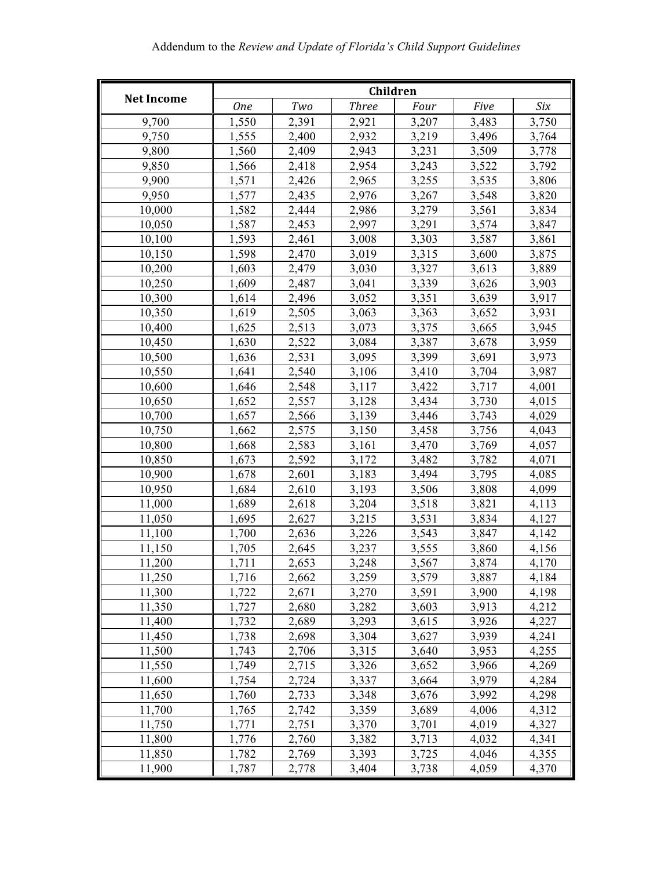|                   | <b>Children</b> |                |                |                |                |                |  |
|-------------------|-----------------|----------------|----------------|----------------|----------------|----------------|--|
| <b>Net Income</b> | <b>One</b>      | Two            | <b>Three</b>   | Four           | Five           | Six            |  |
| 9,700             | 1,550           | 2,391          | 2,921          | 3,207          | 3,483          | 3,750          |  |
| 9,750             | 1,555           | 2,400          | 2,932          | 3,219          | 3,496          | 3,764          |  |
| 9,800             | 1,560           | 2,409          | 2,943          | 3,231          | 3,509          | 3,778          |  |
| 9,850             | 1,566           | 2,418          | 2,954          | 3,243          | 3,522          | 3,792          |  |
| 9,900             | 1,571           | 2,426          | 2,965          | 3,255          | 3,535          | 3,806          |  |
| 9,950             | 1,577           | 2,435          | 2,976          | 3,267          | 3,548          | 3,820          |  |
| 10,000            | 1,582           | 2,444          | 2,986          | 3,279          | 3,561          | 3,834          |  |
| 10,050            | 1,587           | 2,453          | 2,997          | 3,291          | 3,574          | 3,847          |  |
| 10,100            | 1,593           | 2,461          | 3,008          | 3,303          | 3,587          | 3,861          |  |
| 10,150            | 1,598           | 2,470          | 3,019          | 3,315          | 3,600          | 3,875          |  |
| 10,200            | 1,603           | 2,479          | 3,030          | 3,327          | 3,613          | 3,889          |  |
| 10,250            | 1,609           | 2,487          | 3,041          | 3,339          | 3,626          | 3,903          |  |
| 10,300            | 1,614           | 2,496          | 3,052          | 3,351          | 3,639          | 3,917          |  |
| 10,350            | 1,619           | 2,505          | 3,063          | 3,363          | 3,652          | 3,931          |  |
| 10,400            | 1,625           | 2,513          | 3,073          | 3,375          | 3,665          | 3,945          |  |
| 10,450<br>10,500  | 1,630<br>1,636  | 2,522<br>2,531 | 3,084<br>3,095 | 3,387<br>3,399 | 3,678<br>3,691 | 3,959<br>3,973 |  |
| 10,550            | 1,641           | 2,540          | 3,106          | 3,410          | 3,704          | 3,987          |  |
| 10,600            | 1,646           | 2,548          | 3,117          | 3,422          | 3,717          | 4,001          |  |
| 10,650            | 1,652           | 2,557          | 3,128          | 3,434          | 3,730          | 4,015          |  |
| 10,700            | 1,657           | 2,566          | 3,139          | 3,446          | 3,743          | 4,029          |  |
| 10,750            | 1,662           | 2,575          | 3,150          | 3,458          | 3,756          | 4,043          |  |
| 10,800            | 1,668           | 2,583          | 3,161          | 3,470          | 3,769          | 4,057          |  |
| 10,850            | 1,673           | 2,592          | 3,172          | 3,482          | 3,782          | 4,071          |  |
| 10,900            | 1,678           | 2,601          | 3,183          | 3,494          | 3,795          | 4,085          |  |
| 10,950            | 1,684           | 2,610          | 3,193          | 3,506          | 3,808          | 4,099          |  |
| 11,000            | 1,689           | 2,618          | 3,204          | 3,518          | 3,821          | 4,113          |  |
| 11,050            | 1,695           | 2,627          | 3,215          | 3,531          | 3,834          | 4,127          |  |
| 11,100            | 1,700           | 2,636          | 3,226          | 3,543          | 3,847          | 4,142          |  |
| 11,150            | 1,705           | 2,645          | 3,237          | 3,555          | 3,860          | 4,156          |  |
| 11,200            | 1,711           | 2,653          | 3,248          | 3,567          | 3,874          | 4,170          |  |
| 11,250            | 1,716           | 2,662          | 3,259          | 3,579          | 3,887          | 4,184          |  |
| 11,300            | 1,722           | 2,671          | 3,270          | 3,591          | 3,900          | 4,198          |  |
| 11,350            | 1,727           | 2,680          | 3,282          | 3,603          | 3,913          | 4,212          |  |
| 11,400            | 1,732           | 2,689          | 3,293          | 3,615          | 3,926          | 4,227          |  |
| 11,450            | 1,738           | 2,698          | 3,304          | 3,627          | 3,939          | 4,241          |  |
| 11,500            | 1,743           | 2,706          | 3,315          | 3,640          | 3,953          | 4,255          |  |
| 11,550            | 1,749           | 2,715          | 3,326          | 3,652          | 3,966          | 4,269          |  |
| 11,600            | 1,754           | 2,724          | 3,337          | 3,664          | 3,979          | 4,284          |  |
| 11,650            | 1,760           | 2,733          | 3,348          | 3,676          | 3,992          | 4,298          |  |
| 11,700            | 1,765           | 2,742          | 3,359          | 3,689          | 4,006          | 4,312          |  |
| 11,750            | 1,771           | 2,751          | 3,370          | 3,701          | 4,019          | 4,327          |  |
| 11,800            | 1,776           | 2,760          | 3,382          | 3,713          | 4,032          | 4,341          |  |
| 11,850            | 1,782           | 2,769          | 3,393          | 3,725          | 4,046          | 4,355          |  |
| 11,900            | 1,787           | 2,778          | 3,404          | 3,738          | 4,059          | 4,370          |  |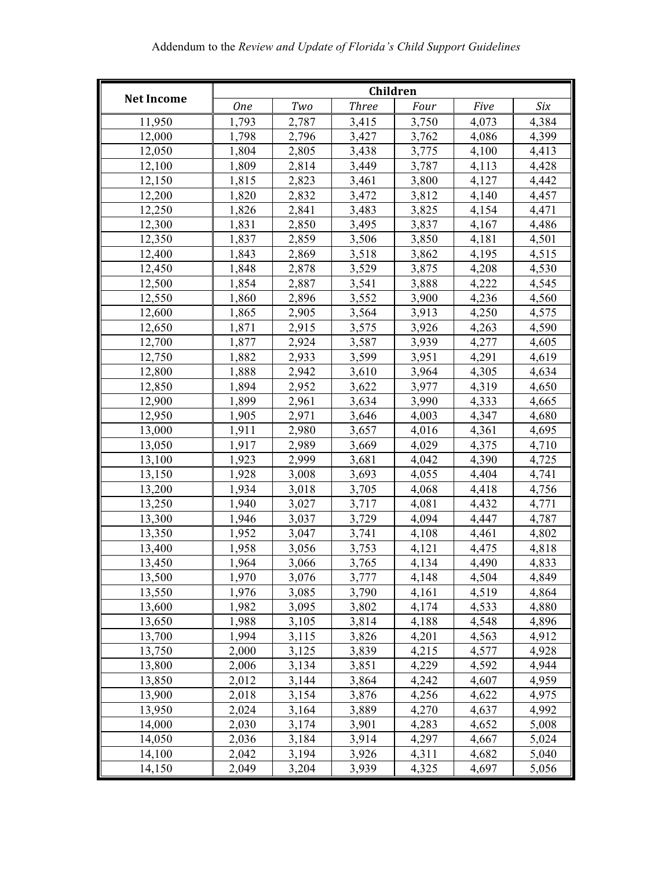|                   | <b>Children</b> |                |                |                |                |                |  |
|-------------------|-----------------|----------------|----------------|----------------|----------------|----------------|--|
| <b>Net Income</b> | <b>One</b>      | Two            | <b>Three</b>   | Four           | Five           | Six            |  |
| 11,950            | 1,793           | 2,787          | 3,415          | 3,750          | 4,073          | 4,384          |  |
| 12,000            | 1,798           | 2,796          | 3,427          | 3,762          | 4,086          | 4,399          |  |
| 12,050            | 1,804           | 2,805          | 3,438          | 3,775          | 4,100          | 4,413          |  |
| 12,100            | 1,809           | 2,814          | 3,449          | 3,787          | 4,113          | 4,428          |  |
| 12,150            | 1,815           | 2,823          | 3,461          | 3,800          | 4,127          | 4,442          |  |
| 12,200            | 1,820           | 2,832          | 3,472          | 3,812          | 4,140          | 4,457          |  |
| 12,250            | 1,826           | 2,841          | 3,483          | 3,825          | 4,154          | 4,471          |  |
| 12,300            | 1,831           | 2,850          | 3,495          | 3,837          | 4,167          | 4,486          |  |
| 12,350            | 1,837           | 2,859          | 3,506          | 3,850          | 4,181          | 4,501          |  |
| 12,400            | 1,843           | 2,869          | 3,518          | 3,862          | 4,195          | 4,515          |  |
| 12,450            | 1,848           | 2,878          | 3,529          | 3,875          | 4,208          | 4,530          |  |
| 12,500            | 1,854           | 2,887          | 3,541          | 3,888          | 4,222          | 4,545          |  |
| 12,550            | 1,860           | 2,896          | 3,552          | 3,900          | 4,236          | 4,560          |  |
| 12,600            | 1,865           | 2,905          | 3,564          | 3,913          | 4,250          | 4,575          |  |
| 12,650            | 1,871           | 2,915          | 3,575          | 3,926          | 4,263          | 4,590          |  |
| 12,700            | 1,877           | 2,924          | 3,587          | 3.939          | 4,277          | 4,605          |  |
| 12,750            | 1,882           | 2,933          | 3,599          | 3,951          | 4,291          | 4,619          |  |
| 12,800            | 1,888           | 2,942          | 3,610          | 3,964          | 4,305          | 4,634          |  |
| 12,850<br>12,900  | 1,894<br>1,899  | 2,952<br>2,961 | 3,622<br>3,634 | 3,977<br>3,990 | 4,319<br>4,333 | 4,650<br>4,665 |  |
| 12,950            | 1,905           | 2,971          | 3,646          | 4,003          | 4,347          | 4,680          |  |
| 13,000            | 1,911           | 2,980          | 3,657          | 4,016          | 4,361          | 4,695          |  |
| 13,050            | 1,917           | 2,989          | 3,669          | 4,029          | 4,375          | 4,710          |  |
| 13,100            | 1,923           | 2,999          | 3,681          | 4,042          | 4,390          | 4,725          |  |
| 13,150            | 1,928           | 3,008          | 3,693          | 4,055          | 4,404          | 4,741          |  |
| 13,200            | 1,934           | 3,018          | 3,705          | 4,068          | 4,418          | 4,756          |  |
| 13,250            | 1,940           | 3,027          | 3,717          | 4,081          | 4,432          | 4,771          |  |
| 13,300            | 1,946           | 3,037          | 3,729          | 4,094          | 4,447          | 4,787          |  |
| 13,350            | 1,952           | 3,047          | 3,741          | 4,108          | 4,461          | 4,802          |  |
| 13,400            | 1,958           | 3,056          | 3,753          | 4,121          | 4,475          | 4,818          |  |
| 13,450            | 1,964           | 3,066          | 3,765          | 4,134          | 4,490          | 4,833          |  |
| 13,500            | 1,970           | 3,076          | 3,777          | 4,148          | 4,504          | 4,849          |  |
| 13,550            | 1,976           | 3,085          | 3,790          | 4,161          | 4,519          | 4,864          |  |
| 13,600            | 1,982           | 3,095          | 3,802          | 4,174          | 4,533          | 4,880          |  |
| 13,650            | 1,988           | 3,105          | 3,814          | 4,188          | 4,548          | 4,896          |  |
| 13,700            | 1,994           | 3,115          | 3,826          | 4,201          | 4,563          | 4,912          |  |
| 13,750            | 2,000           | 3,125          | 3,839          | 4,215          | 4,577          | 4,928          |  |
| 13,800            | 2,006           | 3,134          | 3,851          | 4,229          | 4,592          | 4,944          |  |
| 13,850            | 2,012           | 3,144          | 3,864          | 4,242          | 4,607          | 4,959          |  |
| 13,900            | 2,018           | 3,154          | 3,876          | 4,256          | 4,622          | 4,975          |  |
| 13,950            | 2,024           | 3,164          | 3,889          | 4,270          | 4,637          | 4,992          |  |
| 14,000            | 2,030           | 3,174          | 3,901          | 4,283          | 4,652          | 5,008          |  |
| 14,050            | 2,036           | 3,184          | 3,914          | 4,297          | 4,667          | 5,024          |  |
| 14,100            | 2,042           | 3,194          | 3,926          | 4,311          | 4,682          | 5,040          |  |
| 14,150            | 2,049           | 3,204          | 3,939          | 4,325          | 4,697          | 5,056          |  |